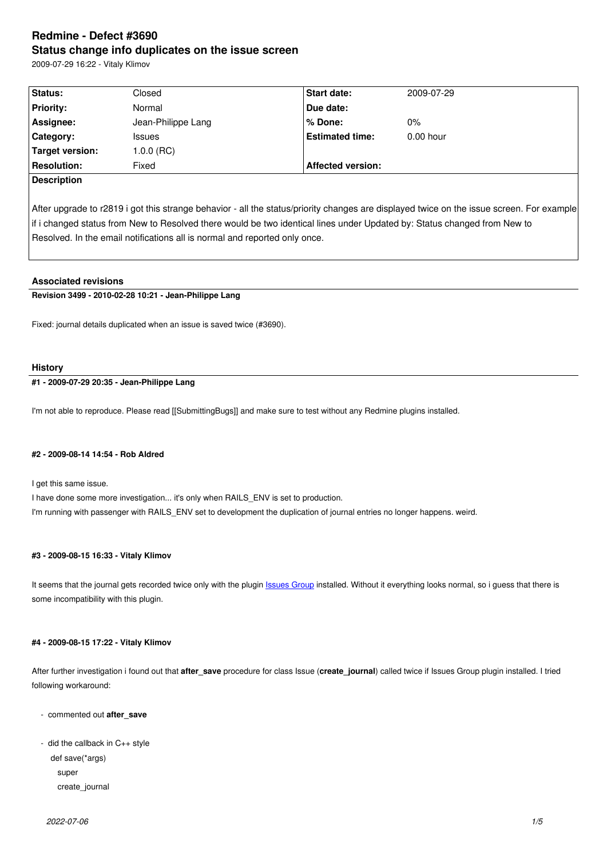#### **Status change info duplicates on the issue screen**

2009-07-29 16:22 - Vitaly Klimov

| Status:            | Closed             | <b>Start date:</b>       | 2009-07-29  |
|--------------------|--------------------|--------------------------|-------------|
| <b>Priority:</b>   | Normal             | Due date:                |             |
| Assignee:          | Jean-Philippe Lang | % Done:                  | $0\%$       |
| <b>Category:</b>   | <b>Issues</b>      | <b>Estimated time:</b>   | $0.00$ hour |
| Target version:    | 1.0.0 (RC)         |                          |             |
| Resolution:        | Fixed              | <b>Affected version:</b> |             |
| <b>Description</b> |                    |                          |             |

After upgrade to r2819 i got this strange behavior - all the status/priority changes are displayed twice on the issue screen. For example if i changed status from New to Resolved there would be two identical lines under Updated by: Status changed from New to Resolved. In the email notifications all is normal and reported only once.

## **Associated revisions**

**Revision 3499 - 2010-02-28 10:21 - Jean-Philippe Lang**

Fixed: journal details duplicated when an issue is saved twice (#3690).

#### **History**

**#1 - 2009-07-29 20:35 - Jean-Philippe Lang**

I'm not able to reproduce. Please read [[SubmittingBugs]] and make sure to test without any Redmine plugins installed.

#### **#2 - 2009-08-14 14:54 - Rob Aldred**

I get this same issue.

I have done some more investigation... it's only when RAILS\_ENV is set to production. I'm running with passenger with RAILS\_ENV set to development the duplication of journal entries no longer happens. weird.

# **#3 - 2009-08-15 16:33 - Vitaly Klimov**

It seems that the journal gets recorded twice only with the plugin **Issues Group** installed. Without it everything looks normal, so i guess that there is some incompatibility with this plugin.

#### **#4 - 2009-08-15 17:22 - Vitaly Klimov**

After further investigation i found out that **after\_save** procedure for class Issue (**create\_journal**) called twice if Issues Group plugin installed. I tried following workaround:

- commented out **after\_save**
- did the callback in C++ style

def save(\*args)

 super create\_journal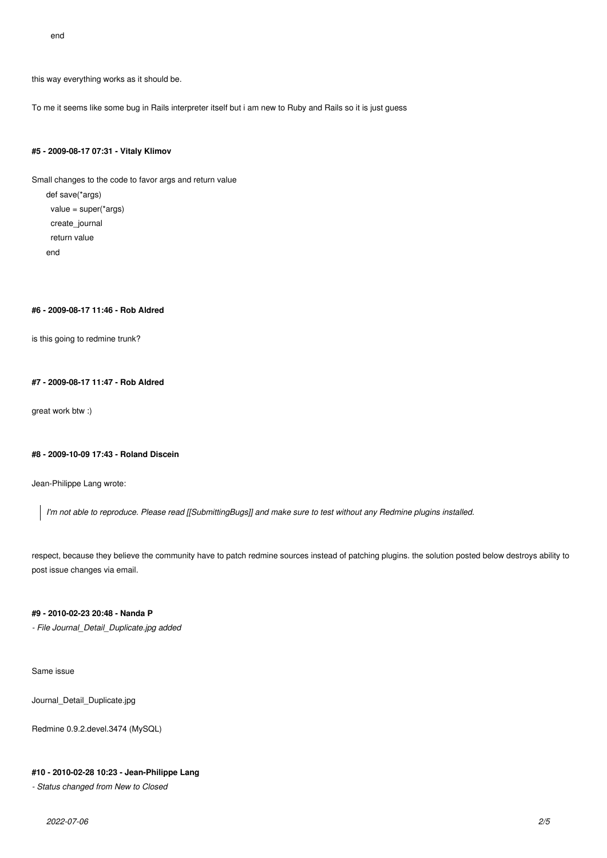end

this way everything works as it should be.

To me it seems like some bug in Rails interpreter itself but i am new to Ruby and Rails so it is just guess

# **#5 - 2009-08-17 07:31 - Vitaly Klimov**

Small changes to the code to favor args and return value

def save(\*args)  $value = super('aras)$  create\_journal return value end

# **#6 - 2009-08-17 11:46 - Rob Aldred**

is this going to redmine trunk?

## **#7 - 2009-08-17 11:47 - Rob Aldred**

great work btw :)

## **#8 - 2009-10-09 17:43 - Roland Discein**

Jean-Philippe Lang wrote:

*I'm not able to reproduce. Please read [[SubmittingBugs]] and make sure to test without any Redmine plugins installed.*

respect, because they believe the community have to patch redmine sources instead of patching plugins. the solution posted below destroys ability to post issue changes via email.

# **#9 - 2010-02-23 20:48 - Nanda P**

*- File Journal\_Detail\_Duplicate.jpg added*

Same issue

Journal\_Detail\_Duplicate.jpg

Redmine 0.9.2.devel.3474 (MySQL)

## **#10 - 2010-02-28 10:23 - Jean-Philippe Lang**

*- Status changed from New to Closed*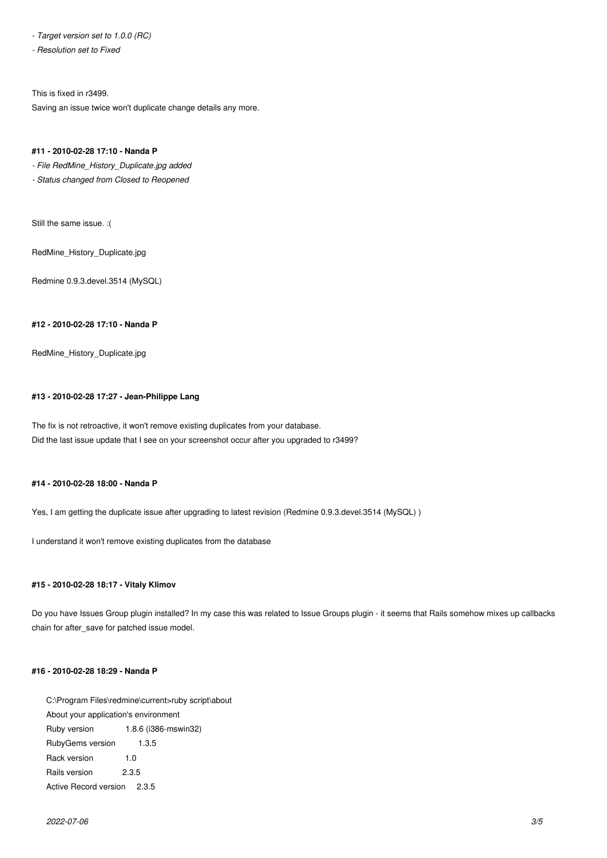*- Target version set to 1.0.0 (RC)*

*- Resolution set to Fixed*

This is fixed in r3499.

Saving an issue twice won't duplicate change details any more.

### **#11 - 2010-02-28 17:10 - Nanda P**

*- File RedMine\_History\_Duplicate.jpg added*

*- Status changed from Closed to Reopened*

Still the same issue. :(

RedMine\_History\_Duplicate.jpg

Redmine 0.9.3.devel.3514 (MySQL)

## **#12 - 2010-02-28 17:10 - Nanda P**

RedMine\_History\_Duplicate.jpg

## **#13 - 2010-02-28 17:27 - Jean-Philippe Lang**

The fix is not retroactive, it won't remove existing duplicates from your database. Did the last issue update that I see on your screenshot occur after you upgraded to r3499?

#### **#14 - 2010-02-28 18:00 - Nanda P**

Yes, I am getting the duplicate issue after upgrading to latest revision (Redmine 0.9.3.devel.3514 (MySQL))

I understand it won't remove existing duplicates from the database

# **#15 - 2010-02-28 18:17 - Vitaly Klimov**

Do you have Issues Group plugin installed? In my case this was related to Issue Groups plugin - it seems that Rails somehow mixes up callbacks chain for after\_save for patched issue model.

#### **#16 - 2010-02-28 18:29 - Nanda P**

C:\Program Files\redmine\current>ruby script\about About your application's environment Ruby version 1.8.6 (i386-mswin32) RubyGems version 1.3.5 Rack version 1.0 Rails version 2.3.5 Active Record version 2.3.5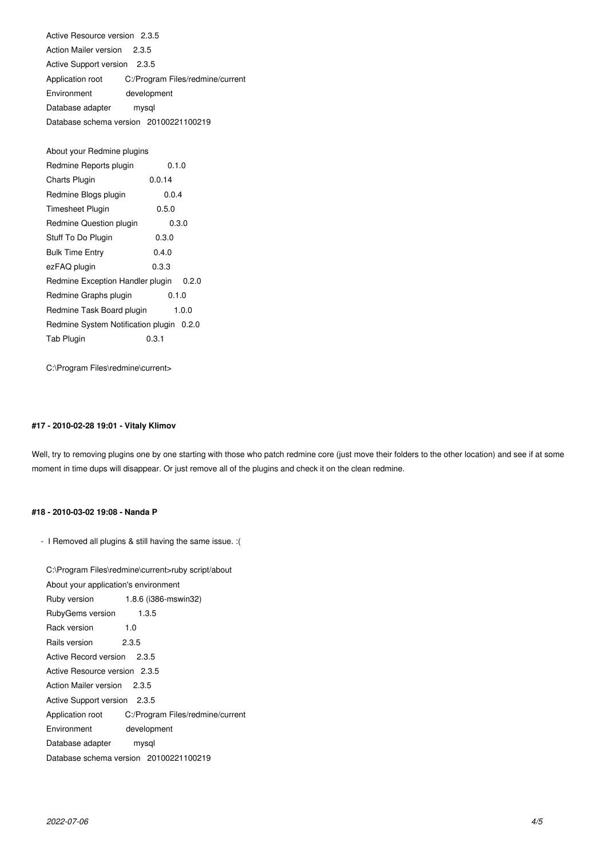Active Resource version 2.3.5 Action Mailer version 2.3.5 Active Support version 2.3.5 Application root C:/Program Files/redmine/current Environment development Database adapter mysql Database schema version 20100221100219

About your Redmine plugins

| Redmine Reports plugin                   | 0.1.0  |       |
|------------------------------------------|--------|-------|
| Charts Plugin                            | 0.0.14 |       |
| Redmine Blogs plugin                     | 0.0.4  |       |
| Timesheet Plugin                         | 0.5.0  |       |
| Redmine Question plugin                  | 0.3.0  |       |
| Stuff To Do Plugin                       | 0.3.0  |       |
| <b>Bulk Time Entry</b>                   | 0.4.0  |       |
| ezFAQ plugin                             | 0.3.3  |       |
| Redmine Exception Handler plugin         |        | 0.2.0 |
| Redmine Graphs plugin                    | 0.1.0  |       |
| Redmine Task Board plugin                |        | 1.0.0 |
| Redmine System Notification plugin 0.2.0 |        |       |
| <b>Tab Plugin</b>                        | 0.3.1  |       |
|                                          |        |       |

C:\Program Files\redmine\current>

## **#17 - 2010-02-28 19:01 - Vitaly Klimov**

Well, try to removing plugins one by one starting with those who patch redmine core (just move their folders to the other location) and see if at some moment in time dups will disappear. Or just remove all of the plugins and check it on the clean redmine.

#### **#18 - 2010-03-02 19:08 - Nanda P**

- I Removed all plugins & still having the same issue. :(

C:\Program Files\redmine\current>ruby script/about About your application's environment Ruby version 1.8.6 (i386-mswin32) RubyGems version 1.3.5 Rack version 1.0 Rails version 2.3.5 Active Record version 2.3.5 Active Resource version 2.3.5 Action Mailer version 2.3.5 Active Support version 2.3.5 Application root C:/Program Files/redmine/current Environment development Database adapter mysql Database schema version 20100221100219